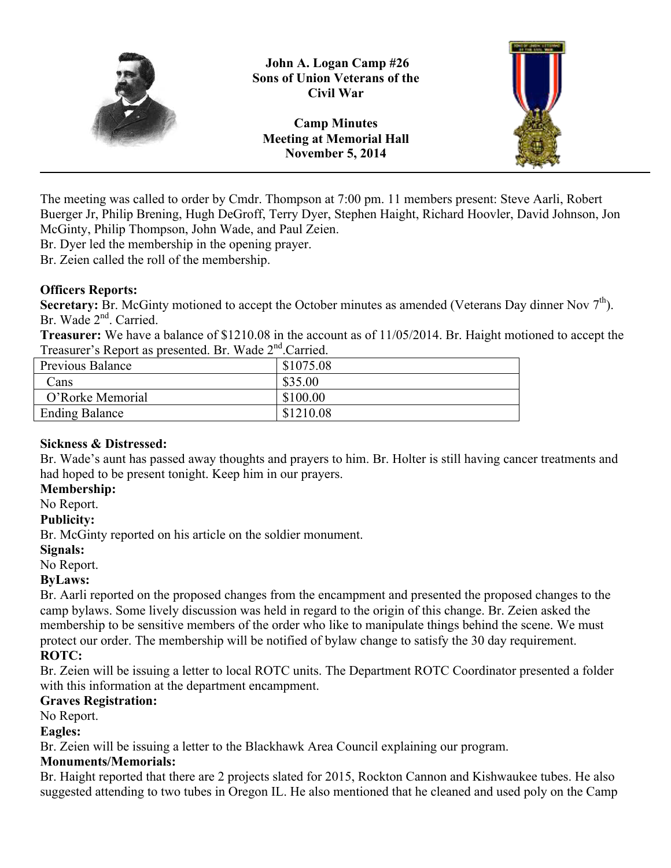

**John A. Logan Camp #26 Sons of Union Veterans of the Civil War**

**Camp Minutes Meeting at Memorial Hall November 5, 2014**



The meeting was called to order by Cmdr. Thompson at 7:00 pm. 11 members present: Steve Aarli, Robert Buerger Jr, Philip Brening, Hugh DeGroff, Terry Dyer, Stephen Haight, Richard Hoovler, David Johnson, Jon McGinty, Philip Thompson, John Wade, and Paul Zeien.

Br. Dyer led the membership in the opening prayer.

Br. Zeien called the roll of the membership.

#### **Officers Reports:**

**Secretary:** Br. McGinty motioned to accept the October minutes as amended (Veterans Day dinner Nov  $7<sup>th</sup>$ ). Br. Wade 2<sup>nd</sup>. Carried.

**Treasurer:** We have a balance of \$1210.08 in the account as of 11/05/2014. Br. Haight motioned to accept the Treasurer's Report as presented. Br. Wade 2<sup>nd</sup> Carried.

| $110000101$ $0100001000$ $010001000$ ; $10000$ ; $11000 = 00011100$ ; |           |
|-----------------------------------------------------------------------|-----------|
| Previous Balance                                                      | \$1075.08 |
| Cans                                                                  | \$35.00   |
| O'Rorke Memorial                                                      | \$100.00  |
| <b>Ending Balance</b>                                                 | \$1210.08 |

#### **Sickness & Distressed:**

Br. Wade's aunt has passed away thoughts and prayers to him. Br. Holter is still having cancer treatments and had hoped to be present tonight. Keep him in our prayers.

### **Membership:**

No Report.

#### **Publicity:**

Br. McGinty reported on his article on the soldier monument.

#### **Signals:**

No Report.

#### **ByLaws:**

Br. Aarli reported on the proposed changes from the encampment and presented the proposed changes to the camp bylaws. Some lively discussion was held in regard to the origin of this change. Br. Zeien asked the membership to be sensitive members of the order who like to manipulate things behind the scene. We must protect our order. The membership will be notified of bylaw change to satisfy the 30 day requirement.

# **ROTC:**

Br. Zeien will be issuing a letter to local ROTC units. The Department ROTC Coordinator presented a folder with this information at the department encampment.

#### **Graves Registration:**

No Report.

#### **Eagles:**

Br. Zeien will be issuing a letter to the Blackhawk Area Council explaining our program.

#### **Monuments/Memorials:**

Br. Haight reported that there are 2 projects slated for 2015, Rockton Cannon and Kishwaukee tubes. He also suggested attending to two tubes in Oregon IL. He also mentioned that he cleaned and used poly on the Camp